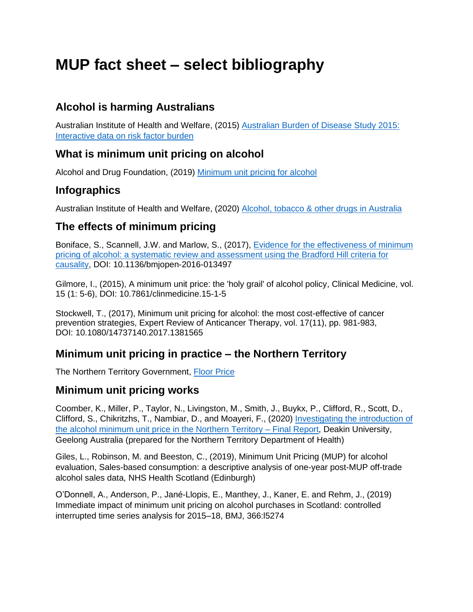# **MUP fact sheet – select bibliography**

#### **Alcohol is harming Australians**

Australian Institute of Health and Welfare, (2015) [Australian Burden of Disease Study 2015:](https://www.aihw.gov.au/reports/burden-of-disease/interactive-data-risk-factor-burden)  [Interactive data on risk factor burden](https://www.aihw.gov.au/reports/burden-of-disease/interactive-data-risk-factor-burden)

#### **What is minimum unit pricing on alcohol**

Alcohol and Drug Foundation, (2019) [Minimum unit pricing for alcohol](https://cdn.adf.org.au/media/documents/ADF_PositionPaper_alcoholunitprice.pdf)

## **Infographics**

Australian Institute of Health and Welfare, (2020) [Alcohol, tobacco & other drugs in Australia](https://www.aihw.gov.au/reports/alcohol/alcohol-tobacco-other-drugs-australia)

#### **The effects of minimum pricing**

Boniface, S., Scannell, J.W. and Marlow, S., (2017), [Evidence for the effectiveness of minimum](https://bmjopen.bmj.com/content/bmjopen/7/5/e013497.full.pdf)  [pricing of alcohol: a systematic review and assessment using the Bradford Hill criteria for](https://bmjopen.bmj.com/content/bmjopen/7/5/e013497.full.pdf)  [causality,](https://bmjopen.bmj.com/content/bmjopen/7/5/e013497.full.pdf) DOI: 10.1136/bmjopen-2016-013497

Gilmore, I., (2015), A minimum unit price: the 'holy grail' of alcohol policy, Clinical Medicine, vol. 15 (1: 5-6), DOI: 10.7861/clinmedicine.15-1-5

Stockwell, T., (2017), Minimum unit pricing for alcohol: the most cost-effective of cancer prevention strategies, Expert Review of Anticancer Therapy, vol. 17(11), pp. 981-983, DOI: [10.1080/14737140.2017.1381565](https://doi.org/10.1080/14737140.2017.1381565)

## **Minimum unit pricing in practice – the Northern Territory**

The Northern Territory Government, [Floor Price](https://alcoholreform.nt.gov.au/milestones/floor-price)

## **Minimum unit pricing works**

Coomber, K., Miller, P., Taylor, N., Livingston, M., Smith, J., Buykx, P., Clifford, R., Scott, D., Clifford, S., Chikritzhs, T., Nambiar, D., and Moayeri, F., (2020) [Investigating the introduction of](https://alcoholreform.nt.gov.au/__data/assets/pdf_file/0007/818278/investigating-introduction-of-alcohol-minimum-unit-price-nt-final-report.pdf)  [the alcohol minimum unit price in the Northern Territory](https://alcoholreform.nt.gov.au/__data/assets/pdf_file/0007/818278/investigating-introduction-of-alcohol-minimum-unit-price-nt-final-report.pdf) – Final Report, Deakin University, Geelong Australia (prepared for the Northern Territory Department of Health)

Giles, L., Robinson, M. and Beeston, C., (2019), Minimum Unit Pricing (MUP) for alcohol evaluation, Sales-based consumption: a descriptive analysis of one-year post-MUP off-trade alcohol sales data, NHS Health Scotland (Edinburgh)

O'Donnell, A., Anderson, P., Jané-Llopis, E., Manthey, J., Kaner, E. and Rehm, J., (2019) Immediate impact of minimum unit pricing on alcohol purchases in Scotland: controlled interrupted time series analysis for 2015–18, BMJ, 366:l5274